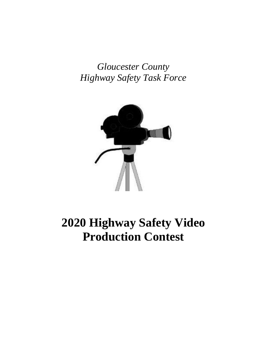*Gloucester County Highway Safety Task Force*



# **2020 Highway Safety Video Production Contest**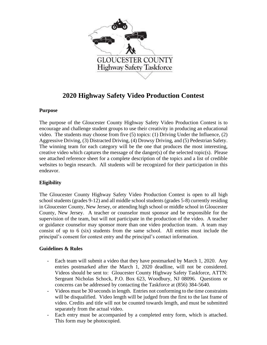

### **2020 Highway Safety Video Production Contest**

### **Purpose**

The purpose of the Gloucester County Highway Safety Video Production Contest is to encourage and challenge student groups to use their creativity in producing an educational video. The students may choose from five (5) topics: (1) Driving Under the Influence, (2) Aggressive Driving, (3) Distracted Driving, (4) Drowsy Driving, and (5) Pedestrian Safety. The winning team for each category will be the one that produces the most interesting, creative video which captures the message of the danger(s) of the selected topic(s). Please see attached reference sheet for a complete description of the topics and a list of credible websites to begin research. All students will be recognized for their participation in this endeavor.

### **Eligibility**

The Gloucester County Highway Safety Video Production Contest is open to all high school students (grades 9-12) and all middle school students (grades 5-8) currently residing in Gloucester County, New Jersey, or attending high school or middle school in Gloucester County, New Jersey. A teacher or counselor must sponsor and be responsible for the supervision of the team, but will not participate in the production of the video. A teacher or guidance counselor may sponsor more than one video production team. A team may consist of up to 6 (six) students from the same school. All entries must include the principal's consent for contest entry and the principal's contact information.

### **Guidelines & Rules**

- Each team will submit a video that they have postmarked by March 1, 2020. Any entries postmarked after the March 1, 2020 deadline, will not be considered. Videos should be sent to: Gloucester County Highway Safety Taskforce, ATTN: Sergeant Nicholas Schock, P.O. Box 623, Woodbury, NJ 08096. Questions or concerns can be addressed by contacting the Taskforce at (856) 384-5640.
- Videos must be 30 seconds in length. Entries not conforming to the time constraints will be disqualified. Video length will be judged from the first to the last frame of video. Credits and title will not be counted towards length, and must be submitted separately from the actual video.
- Each entry must be accompanied by a completed entry form, which is attached. This form may be photocopied.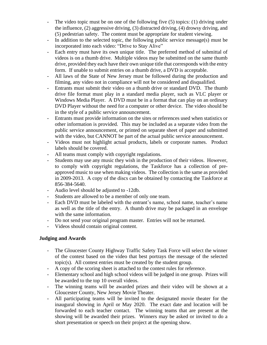- The video topic must be on one of the following five (5) topics: (1) driving under the influence, (2) aggressive driving, (3) distracted driving, (4) drowsy driving, and (5) pedestrian safety. The content must be appropriate for student viewing.
- In addition to the selected topic, the following public service message(s) must be incorporated into each video: "Drive to Stay Alive"
- Each entry must have its own unique title. The preferred method of submittal of videos is on a thumb drive. Multiple videos may be submitted on the same thumb drive, provided they each have their own unique title that corresponds with the entry form. If unable to submit entries on a thumb drive, a DVD is acceptable.
- All laws of the State of New Jersey must be followed during the production and filming, any video not in compliance will not be considered and disqualified.
- Entrants must submit their video on a thumb drive or standard DVD. The thumb drive file format must play in a standard media player, such as VLC player or Windows Media Player. A DVD must be in a format that can play on an ordinary DVD Player without the need for a computer or other device. The video should be in the style of a public service announcement.
- Entrants must provide information on the sites or references used when statistics or other information is provided. This may be included as a separate video from the public service announcement, or printed on separate sheet of paper and submitted with the video, but CANNOT be part of the actual public service announcement.
- Videos must not highlight actual products, labels or corporate names. Product labels should be covered.
- All teams must comply with copyright regulations.
- Students may use any music they wish in the production of their videos. However, to comply with copyright regulations, the Taskforce has a collection of preapproved music to use when making videos. The collection is the same as provided in 2009-2013. A copy of the discs can be obtained by contacting the Taskforce at 856-384-5640.
- Audio level should be adjusted to -12db.
- Students are allowed to be a member of only one team.
- Each DVD must be labeled with the entrant's name, school name, teacher's name as well as the title of the entry. A thumb drive may be packaged in an envelope with the same information.
- Do not send your original program master. Entries will not be returned.
- Videos should contain original content.

### **Judging and Awards**

- The Gloucester County Highway Traffic Safety Task Force will select the winner of the contest based on the video that best portrays the message of the selected topic(s). All contest entries must be created by the student group.
- A copy of the scoring sheet is attached to the contest rules for reference.
- Elementary school and high school videos will be judged in one group. Prizes will be awarded to the top 10 overall videos.
- The winning teams will be awarded prizes and their video will be shown at a Gloucester County, New Jersey Movie Theater.
- All participating teams will be invited to the designated movie theater for the inaugural showing in April or May 2020. The exact date and location will be forwarded to each teacher contact. The winning teams that are present at the showing will be awarded their prizes. Winners may be asked or invited to do a short presentation or speech on their project at the opening show.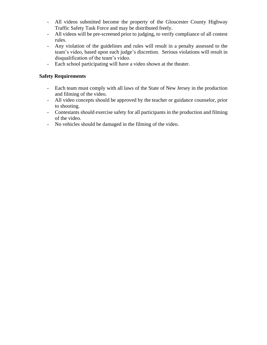- All videos submitted become the property of the Gloucester County Highway Traffic Safety Task Force and may be distributed freely.
- All videos will be pre-screened prior to judging, to verify compliance of all contest rules.
- Any violation of the guidelines and rules will result in a penalty assessed to the team's video, based upon each judge's discretion. Serious violations will result in disqualification of the team's video.
- Each school participating will have a video shown at the theater.

### **Safety Requirements**

- Each team must comply with all laws of the State of New Jersey in the production and filming of the video.
- All video concepts should be approved by the teacher or guidance counselor, prior to shooting.
- Contestants should exercise safety for all participants in the production and filming of the video.
- No vehicles should be damaged in the filming of the video.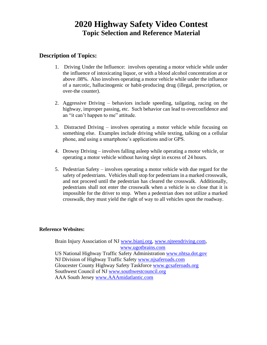# **2020 Highway Safety Video Contest Topic Selection and Reference Material**

### **Description of Topics:**

- 1. Driving Under the Influence: involves operating a motor vehicle while under the influence of intoxicating liquor, or with a blood alcohol concentration at or above .08%. Also involves operating a motor vehicle while under the influence of a narcotic, hallucinogenic or habit-producing drug (illegal, prescription, or over-the counter).
- 2. Aggressive Driving behaviors include speeding, tailgating, racing on the highway, improper passing, etc. Such behavior can lead to overconfidence and an "it can't happen to me" attitude.
- 3. Distracted Driving involves operating a motor vehicle while focusing on something else. Examples include driving while texting, talking on a cellular phone, and using a smartphone's applications and/or GPS.
- 4. Drowsy Driving involves falling asleep while operating a motor vehicle, or operating a motor vehicle without having slept in excess of 24 hours.
- 5. Pedestrian Safety involves operating a motor vehicle with due regard for the safety of pedestrians. Vehicles shall stop for pedestrians in a marked crosswalk, and not proceed until the pedestrian has cleared the crosswalk. Additionally, pedestrians shall not enter the crosswalk when a vehicle is so close that it is impossible for the driver to stop. When a pedestrian does not utilize a marked crosswalk, they must yield the right of way to all vehicles upon the roadway.

#### **Reference Websites:**

Brain Injury Association of NJ [www.bianj.org,](http://www.bianj.org/) [www.njteendriving.com,](http://www.njteendriving.com/) [www.ugotbrains.com](http://www.ugotbrains.com/) US National Highway Traffic Safety Administration [www.nhtsa.dot.gov](http://www.nhtsa.dot.gov/) NJ Division of Highway Traffic Safety [www.njsaferoads.com](http://www.njsaferoads.com/) Gloucester County Highway Safety Taskforce [www.gcsaferoads.org](http://www.gcsaferoads.org/) Southwest Council of NJ [www.southwestcouncil.org](http://www.southwestcouncil.org/) AAA South Jersey [www.AAAmidatlantic.com](http://www.aaamidatlantic.com/)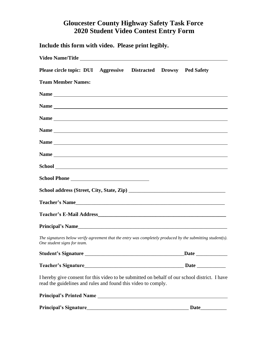## **Gloucester County Highway Safety Task Force 2020 Student Video Contest Entry Form**

| Include this form with video. Please print legibly.                                                                                                            |  |
|----------------------------------------------------------------------------------------------------------------------------------------------------------------|--|
|                                                                                                                                                                |  |
| Please circle topic: DUI Aggressive Distracted Drowsy Ped Safety                                                                                               |  |
| <b>Team Member Names:</b>                                                                                                                                      |  |
|                                                                                                                                                                |  |
|                                                                                                                                                                |  |
|                                                                                                                                                                |  |
|                                                                                                                                                                |  |
|                                                                                                                                                                |  |
|                                                                                                                                                                |  |
|                                                                                                                                                                |  |
|                                                                                                                                                                |  |
|                                                                                                                                                                |  |
| Teacher's Name                                                                                                                                                 |  |
|                                                                                                                                                                |  |
|                                                                                                                                                                |  |
| The signatures below verify agreement that the entry was completely produced by the submitting student(s).<br>One student signs for team.                      |  |
|                                                                                                                                                                |  |
|                                                                                                                                                                |  |
| I hereby give consent for this video to be submitted on behalf of our school district. I have<br>read the guidelines and rules and found this video to comply. |  |
| Principal's Printed Name                                                                                                                                       |  |
|                                                                                                                                                                |  |